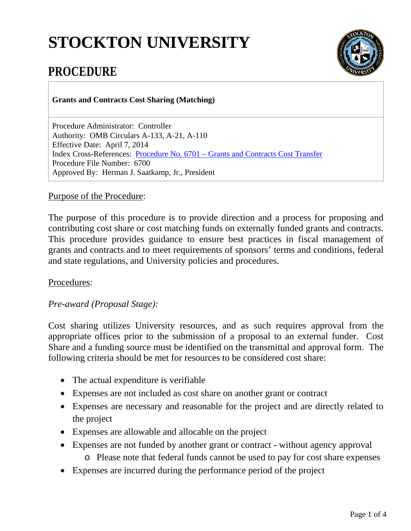# **STOCKTON UNIVERSITY**



# **PROCEDURE**

**Grants and Contracts Cost Sharing (Matching)** 

Procedure Administrator: Controller Authority: OMB Circulars A-133, A-21, A-110 Effective Date: April 7, 2014 Index Cross-References: Procedure No. 6701 – [Grants and Contracts Cost Transfer](http://intraweb.stockton.edu/eyos/policypro/content/docs/6701_040714.pdf) Procedure File Number: 6700 Approved By: Herman J. Saatkamp, Jr., President

# Purpose of the Procedure:

The purpose of this procedure is to provide direction and a process for proposing and contributing cost share or cost matching funds on externally funded grants and contracts. This procedure provides guidance to ensure best practices in fiscal management of grants and contracts and to meet requirements of sponsors' terms and conditions, federal and state regulations, and University policies and procedures.

# Procedures:

# *Pre-award (Proposal Stage):*

Cost sharing utilizes University resources, and as such requires approval from the appropriate offices prior to the submission of a proposal to an external funder. Cost Share and a funding source must be identified on the transmittal and approval form. The following criteria should be met for resources to be considered cost share:

- The actual expenditure is verifiable
- Expenses are not included as cost share on another grant or contract
- Expenses are necessary and reasonable for the project and are directly related to the project
- Expenses are allowable and allocable on the project
- Expenses are not funded by another grant or contract without agency approval o Please note that federal funds cannot be used to pay for cost share expenses
- Expenses are incurred during the performance period of the project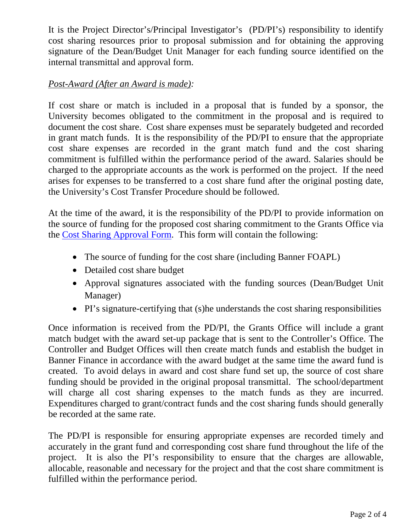It is the Project Director's/Principal Investigator's (PD/PI's) responsibility to identify cost sharing resources prior to proposal submission and for obtaining the approving signature of the Dean/Budget Unit Manager for each funding source identified on the internal transmittal and approval form.

# *Post-Award (After an Award is made):*

If cost share or match is included in a proposal that is funded by a sponsor, the University becomes obligated to the commitment in the proposal and is required to document the cost share. Cost share expenses must be separately budgeted and recorded in grant match funds. It is the responsibility of the PD/PI to ensure that the appropriate cost share expenses are recorded in the grant match fund and the cost sharing commitment is fulfilled within the performance period of the award. Salaries should be charged to the appropriate accounts as the work is performed on the project. If the need arises for expenses to be transferred to a cost share fund after the original posting date, the University's Cost Transfer Procedure should be followed.

At the time of the award, it is the responsibility of the PD/PI to provide information on the source of funding for the proposed cost sharing commitment to the Grants Office via the [Cost Sharing Approval Form.](http://intraweb.stockton.edu/eyos/policypro/content/docs/Cost_Share_Form_040214.pdf) This form will contain the following:

- The source of funding for the cost share (including Banner FOAPL)
- Detailed cost share budget
- Approval signatures associated with the funding sources (Dean/Budget Unit Manager)
- PI's signature-certifying that (s)he understands the cost sharing responsibilities

Once information is received from the PD/PI, the Grants Office will include a grant match budget with the award set-up package that is sent to the Controller's Office. The Controller and Budget Offices will then create match funds and establish the budget in Banner Finance in accordance with the award budget at the same time the award fund is created. To avoid delays in award and cost share fund set up, the source of cost share funding should be provided in the original proposal transmittal. The school/department will charge all cost sharing expenses to the match funds as they are incurred. Expenditures charged to grant/contract funds and the cost sharing funds should generally be recorded at the same rate.

The PD/PI is responsible for ensuring appropriate expenses are recorded timely and accurately in the grant fund and corresponding cost share fund throughout the life of the project. It is also the PI's responsibility to ensure that the charges are allowable, allocable, reasonable and necessary for the project and that the cost share commitment is fulfilled within the performance period.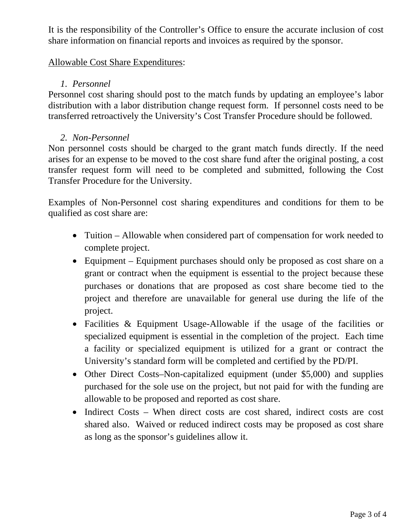It is the responsibility of the Controller's Office to ensure the accurate inclusion of cost share information on financial reports and invoices as required by the sponsor.

#### Allowable Cost Share Expenditures:

# *1. Personnel*

Personnel cost sharing should post to the match funds by updating an employee's labor distribution with a labor distribution change request form. If personnel costs need to be transferred retroactively the University's Cost Transfer Procedure should be followed.

# *2. Non-Personnel*

Non personnel costs should be charged to the grant match funds directly. If the need arises for an expense to be moved to the cost share fund after the original posting, a cost transfer request form will need to be completed and submitted, following the Cost Transfer Procedure for the University.

Examples of Non-Personnel cost sharing expenditures and conditions for them to be qualified as cost share are:

- Tuition Allowable when considered part of compensation for work needed to complete project.
- Equipment Equipment purchases should only be proposed as cost share on a grant or contract when the equipment is essential to the project because these purchases or donations that are proposed as cost share become tied to the project and therefore are unavailable for general use during the life of the project.
- Facilities & Equipment Usage-Allowable if the usage of the facilities or specialized equipment is essential in the completion of the project. Each time a facility or specialized equipment is utilized for a grant or contract the University's standard form will be completed and certified by the PD/PI.
- Other Direct Costs–Non-capitalized equipment (under \$5,000) and supplies purchased for the sole use on the project, but not paid for with the funding are allowable to be proposed and reported as cost share.
- Indirect Costs When direct costs are cost shared, indirect costs are cost shared also. Waived or reduced indirect costs may be proposed as cost share as long as the sponsor's guidelines allow it.